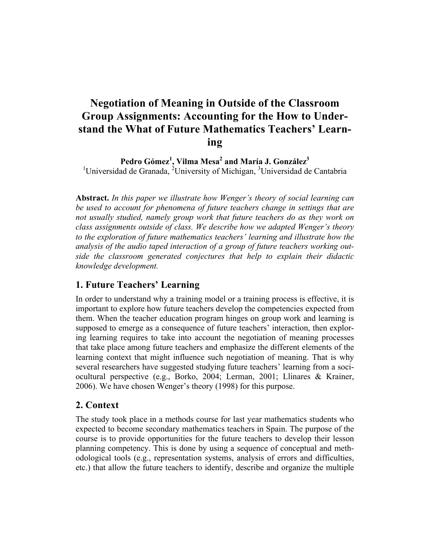# **Negotiation of Meaning in Outside of the Classroom Group Assignments: Accounting for the How to Understand the What of Future Mathematics Teachers' Learning**

**Pedro Gómez<sup>1</sup> , Vilma Mesa<sup>2</sup> and María J. González3** <sup>1</sup>Universidad de Granada, <sup>2</sup>University of Michigan, <sup>3</sup>Universidad de Cantabria

**Abstract.** *In this paper we illustrate how Wenger's theory of social learning can*  be used to account for phenomena of future teachers change in settings that are *not usually studied, namely group work that future teachers do as they work on class assignments outside of class. We describe how we adapted Wenger's theory to the exploration of future mathematics teachers' learning and illustrate how the analysis of the audio taped interaction of a group of future teachers working outside the classroom generated conjectures that help to explain their didactic knowledge development.*

# **1. Future Teachers' Learning**

In order to understand why a training model or a training process is effective, it is important to explore how future teachers develop the competencies expected from them. When the teacher education program hinges on group work and learning is supposed to emerge as a consequence of future teachers' interaction, then exploring learning requires to take into account the negotiation of meaning processes that take place among future teachers and emphasize the different elements of the learning context that might influence such negotiation of meaning. That is why several researchers have suggested studying future teachers' learning from a sociocultural perspective (e.g., Borko, 2004; Lerman, 2001; Llinares & Krainer, 2006). We have chosen Wenger's theory (1998) for this purpose.

# **2. Context**

The study took place in a methods course for last year mathematics students who expected to become secondary mathematics teachers in Spain. The purpose of the course is to provide opportunities for the future teachers to develop their lesson planning competency. This is done by using a sequence of conceptual and methodological tools (e.g., representation systems, analysis of errors and difficulties, etc.) that allow the future teachers to identify, describe and organize the multiple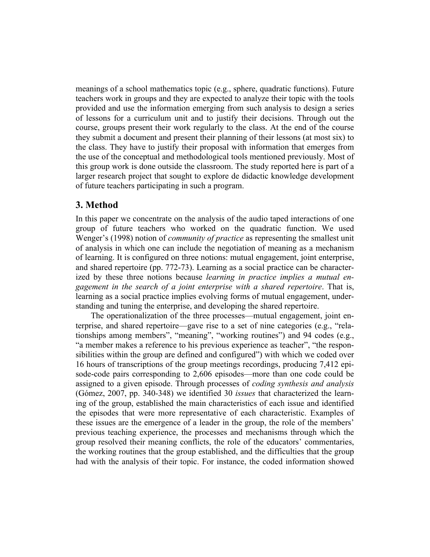meanings of a school mathematics topic (e.g., sphere, quadratic functions). Future teachers work in groups and they are expected to analyze their topic with the tools provided and use the information emerging from such analysis to design a series of lessons for a curriculum unit and to justify their decisions. Through out the course, groups present their work regularly to the class. At the end of the course they submit a document and present their planning of their lessons (at most six) to the class. They have to justify their proposal with information that emerges from the use of the conceptual and methodological tools mentioned previously. Most of this group work is done outside the classroom. The study reported here is part of a larger research project that sought to explore de didactic knowledge development of future teachers participating in such a program.

## **3. Method**

In this paper we concentrate on the analysis of the audio taped interactions of one group of future teachers who worked on the quadratic function. We used Wenger's (1998) notion of *community of practice* as representing the smallest unit of analysis in which one can include the negotiation of meaning as a mechanism of learning. It is configured on three notions: mutual engagement, joint enterprise, and shared repertoire (pp. 772-73). Learning as a social practice can be characterized by these three notions because *learning in practice implies a mutual engagement in the search of a joint enterprise with a shared repertoire*. That is, learning as a social practice implies evolving forms of mutual engagement, understanding and tuning the enterprise, and developing the shared repertoire.

The operationalization of the three processes—mutual engagement, joint enterprise, and shared repertoire—gave rise to a set of nine categories (e.g., "relationships among members", "meaning", "working routines") and 94 codes (e.g., "a member makes a reference to his previous experience as teacher", "the responsibilities within the group are defined and configured") with which we coded over 16 hours of transcriptions of the group meetings recordings, producing 7,412 episode-code pairs corresponding to 2,606 episodes—more than one code could be assigned to a given episode. Through processes of *coding synthesis and analysis* (Gómez, 2007, pp. 340-348) we identified 30 *issues* that characterized the learning of the group, established the main characteristics of each issue and identified the episodes that were more representative of each characteristic. Examples of these issues are the emergence of a leader in the group, the role of the members' previous teaching experience, the processes and mechanisms through which the group resolved their meaning conflicts, the role of the educators' commentaries, the working routines that the group established, and the difficulties that the group had with the analysis of their topic. For instance, the coded information showed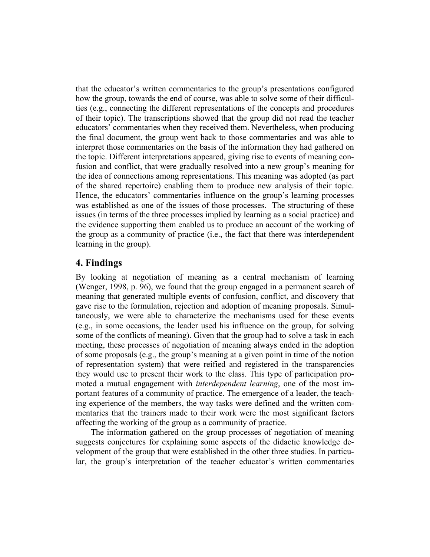that the educator's written commentaries to the group's presentations configured how the group, towards the end of course, was able to solve some of their difficulties (e.g., connecting the different representations of the concepts and procedures of their topic). The transcriptions showed that the group did not read the teacher educators' commentaries when they received them. Nevertheless, when producing the final document, the group went back to those commentaries and was able to interpret those commentaries on the basis of the information they had gathered on the topic. Different interpretations appeared, giving rise to events of meaning confusion and conflict, that were gradually resolved into a new group's meaning for the idea of connections among representations. This meaning was adopted (as part of the shared repertoire) enabling them to produce new analysis of their topic. Hence, the educators' commentaries influence on the group's learning processes was established as one of the issues of those processes. The structuring of these issues (in terms of the three processes implied by learning as a social practice) and the evidence supporting them enabled us to produce an account of the working of the group as a community of practice (i.e., the fact that there was interdependent learning in the group).

#### **4. Findings**

By looking at negotiation of meaning as a central mechanism of learning (Wenger, 1998, p. 96), we found that the group engaged in a permanent search of meaning that generated multiple events of confusion, conflict, and discovery that gave rise to the formulation, rejection and adoption of meaning proposals. Simultaneously, we were able to characterize the mechanisms used for these events (e.g., in some occasions, the leader used his influence on the group, for solving some of the conflicts of meaning). Given that the group had to solve a task in each meeting, these processes of negotiation of meaning always ended in the adoption of some proposals (e.g., the group's meaning at a given point in time of the notion of representation system) that were reified and registered in the transparencies they would use to present their work to the class. This type of participation promoted a mutual engagement with *interdependent learning*, one of the most important features of a community of practice. The emergence of a leader, the teaching experience of the members, the way tasks were defined and the written commentaries that the trainers made to their work were the most significant factors affecting the working of the group as a community of practice.

The information gathered on the group processes of negotiation of meaning suggests conjectures for explaining some aspects of the didactic knowledge development of the group that were established in the other three studies. In particular, the group's interpretation of the teacher educator's written commentaries